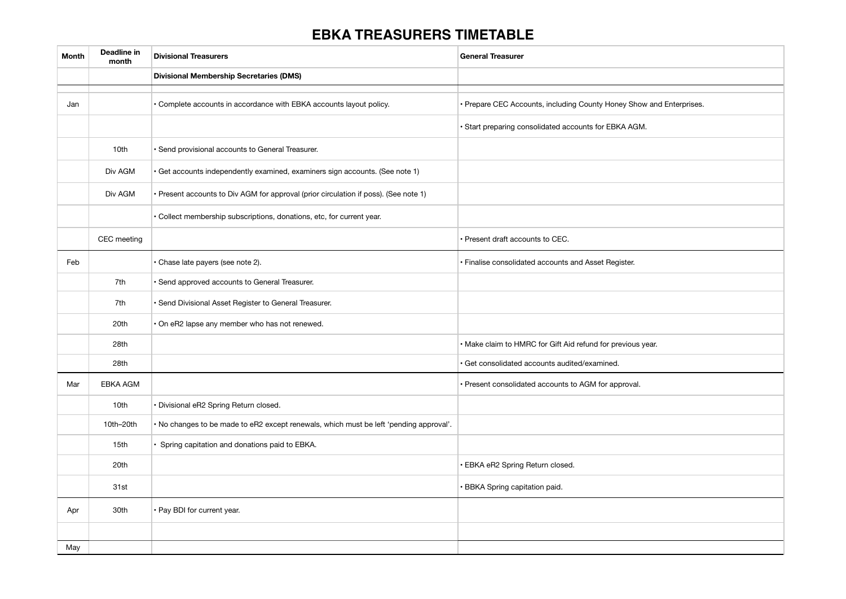## **EBKA TREASURERS TIMETABLE**

| Month | Deadline in<br>month | <b>Divisional Treasurers</b>                                                           | <b>General Treasurer</b>                                             |
|-------|----------------------|----------------------------------------------------------------------------------------|----------------------------------------------------------------------|
|       |                      | <b>Divisional Membership Secretaries (DMS)</b>                                         |                                                                      |
| Jan   |                      | · Complete accounts in accordance with EBKA accounts layout policy.                    | · Prepare CEC Accounts, including County Honey Show and Enterprises. |
|       |                      |                                                                                        | · Start preparing consolidated accounts for EBKA AGM.                |
|       | 10th                 | · Send provisional accounts to General Treasurer.                                      |                                                                      |
|       | Div AGM              | · Get accounts independently examined, examiners sign accounts. (See note 1)           |                                                                      |
|       | Div AGM              | · Present accounts to Div AGM for approval (prior circulation if poss). (See note 1)   |                                                                      |
|       |                      | · Collect membership subscriptions, donations, etc, for current year.                  |                                                                      |
|       | CEC meeting          |                                                                                        | Present draft accounts to CEC.                                       |
| Feb   |                      | Chase late payers (see note 2).                                                        | · Finalise consolidated accounts and Asset Register.                 |
|       | 7th                  | · Send approved accounts to General Treasurer.                                         |                                                                      |
|       | 7th                  | · Send Divisional Asset Register to General Treasurer.                                 |                                                                      |
|       | 20th                 | . On eR2 lapse any member who has not renewed.                                         |                                                                      |
|       | 28th                 |                                                                                        | · Make claim to HMRC for Gift Aid refund for previous year.          |
|       | 28th                 |                                                                                        | Get consolidated accounts audited/examined.                          |
| Mar   | EBKA AGM             |                                                                                        | · Present consolidated accounts to AGM for approval.                 |
|       | 10th                 | · Divisional eR2 Spring Return closed.                                                 |                                                                      |
|       | 10th-20th            | . No changes to be made to eR2 except renewals, which must be left 'pending approval'. |                                                                      |
|       | 15th                 | · Spring capitation and donations paid to EBKA.                                        |                                                                      |
|       | 20th                 |                                                                                        | · EBKA eR2 Spring Return closed.                                     |
|       | 31st                 |                                                                                        | BBKA Spring capitation paid.                                         |
| Apr   | 30th                 | · Pay BDI for current year.                                                            |                                                                      |
|       |                      |                                                                                        |                                                                      |
| May   |                      |                                                                                        |                                                                      |